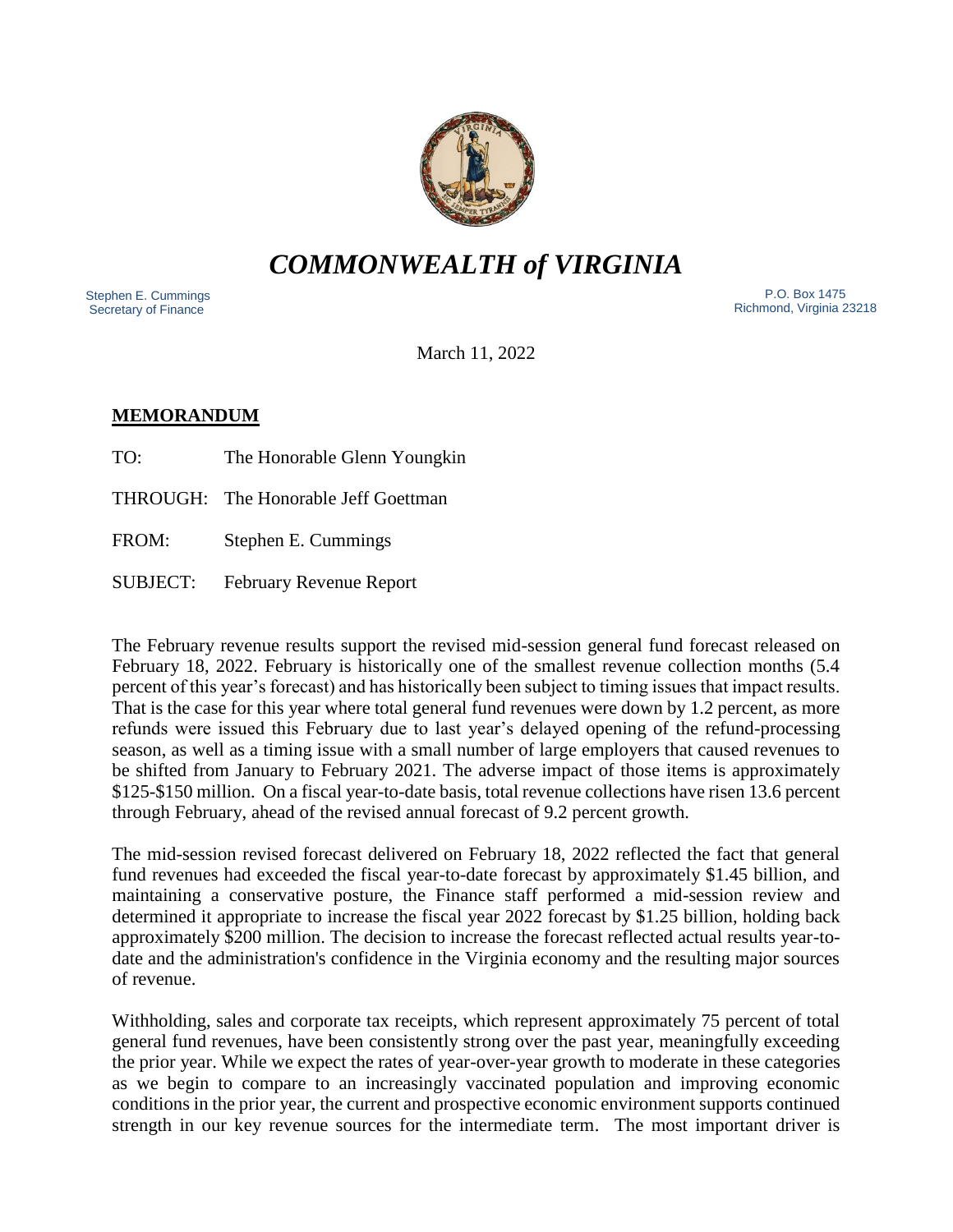

# *COMMONWEALTH of VIRGINIA*

 Stephen E. Cummings Secretary of Finance

 P.O. Box 1475 Richmond, Virginia 23218

March 11, 2022

# **MEMORANDUM**

TO: The Honorable Glenn Youngkin

THROUGH: The Honorable Jeff Goettman

FROM: Stephen E. Cummings

SUBJECT: February Revenue Report

The February revenue results support the revised mid-session general fund forecast released on February 18, 2022. February is historically one of the smallest revenue collection months (5.4 percent of this year's forecast) and has historically been subject to timing issues that impact results. That is the case for this year where total general fund revenues were down by 1.2 percent, as more refunds were issued this February due to last year's delayed opening of the refund-processing season, as well as a timing issue with a small number of large employers that caused revenues to be shifted from January to February 2021. The adverse impact of those items is approximately \$125-\$150 million. On a fiscal year-to-date basis, total revenue collections have risen 13.6 percent through February, ahead of the revised annual forecast of 9.2 percent growth.

The mid-session revised forecast delivered on February 18, 2022 reflected the fact that general fund revenues had exceeded the fiscal year-to-date forecast by approximately \$1.45 billion, and maintaining a conservative posture, the Finance staff performed a mid-session review and determined it appropriate to increase the fiscal year 2022 forecast by \$1.25 billion, holding back approximately \$200 million. The decision to increase the forecast reflected actual results year-todate and the administration's confidence in the Virginia economy and the resulting major sources of revenue.

Withholding, sales and corporate tax receipts, which represent approximately 75 percent of total general fund revenues, have been consistently strong over the past year, meaningfully exceeding the prior year. While we expect the rates of year-over-year growth to moderate in these categories as we begin to compare to an increasingly vaccinated population and improving economic conditions in the prior year, the current and prospective economic environment supports continued strength in our key revenue sources for the intermediate term. The most important driver is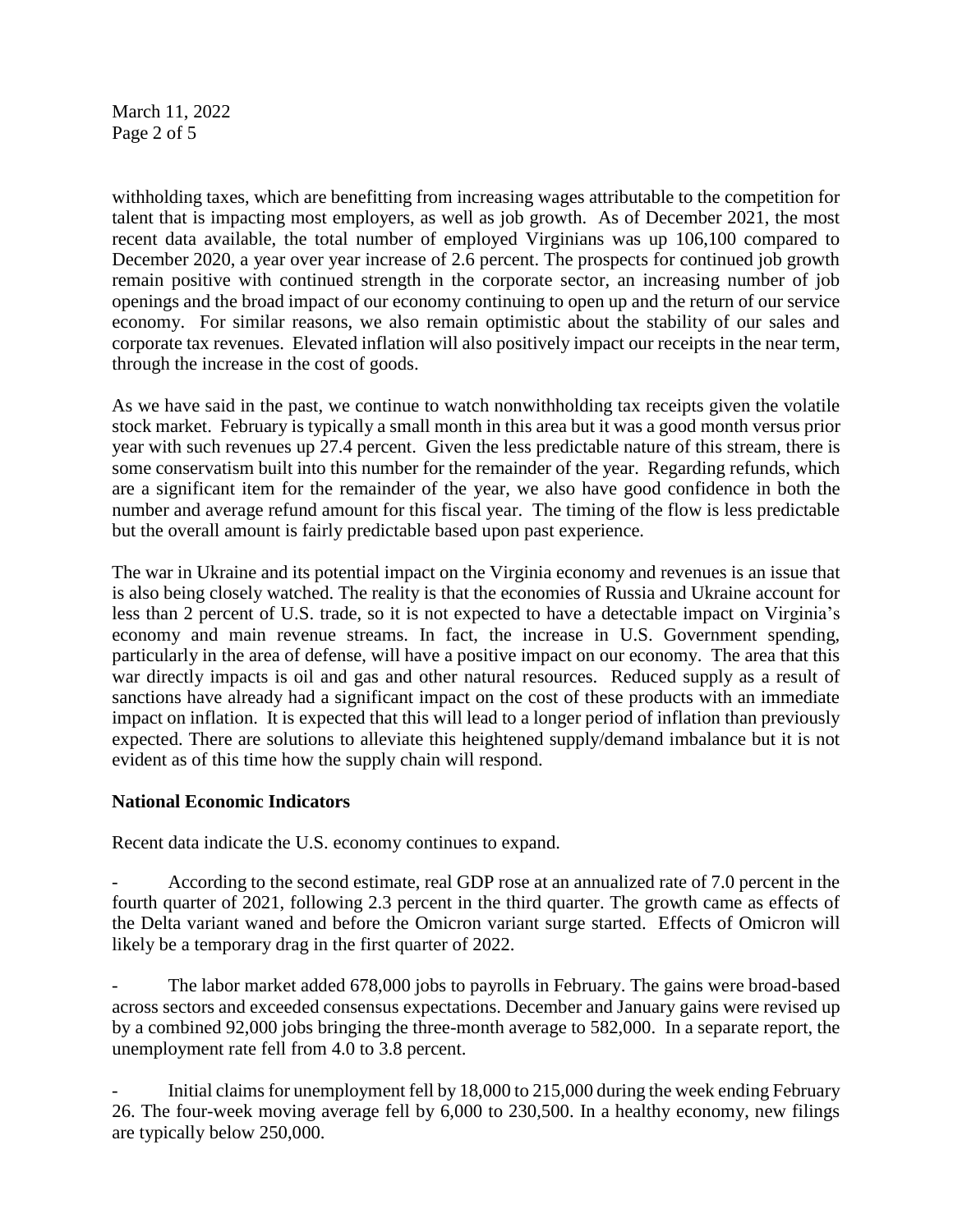March 11, 2022 Page 2 of 5

withholding taxes, which are benefitting from increasing wages attributable to the competition for talent that is impacting most employers, as well as job growth. As of December 2021, the most recent data available, the total number of employed Virginians was up 106,100 compared to December 2020, a year over year increase of 2.6 percent. The prospects for continued job growth remain positive with continued strength in the corporate sector, an increasing number of job openings and the broad impact of our economy continuing to open up and the return of our service economy. For similar reasons, we also remain optimistic about the stability of our sales and corporate tax revenues. Elevated inflation will also positively impact our receipts in the near term, through the increase in the cost of goods.

As we have said in the past, we continue to watch nonwithholding tax receipts given the volatile stock market. February is typically a small month in this area but it was a good month versus prior year with such revenues up 27.4 percent. Given the less predictable nature of this stream, there is some conservatism built into this number for the remainder of the year. Regarding refunds, which are a significant item for the remainder of the year, we also have good confidence in both the number and average refund amount for this fiscal year. The timing of the flow is less predictable but the overall amount is fairly predictable based upon past experience.

The war in Ukraine and its potential impact on the Virginia economy and revenues is an issue that is also being closely watched. The reality is that the economies of Russia and Ukraine account for less than 2 percent of U.S. trade, so it is not expected to have a detectable impact on Virginia's economy and main revenue streams. In fact, the increase in U.S. Government spending, particularly in the area of defense, will have a positive impact on our economy. The area that this war directly impacts is oil and gas and other natural resources. Reduced supply as a result of sanctions have already had a significant impact on the cost of these products with an immediate impact on inflation. It is expected that this will lead to a longer period of inflation than previously expected. There are solutions to alleviate this heightened supply/demand imbalance but it is not evident as of this time how the supply chain will respond.

### **National Economic Indicators**

Recent data indicate the U.S. economy continues to expand.

- According to the second estimate, real GDP rose at an annualized rate of 7.0 percent in the fourth quarter of 2021, following 2.3 percent in the third quarter. The growth came as effects of the Delta variant waned and before the Omicron variant surge started. Effects of Omicron will likely be a temporary drag in the first quarter of 2022.

The labor market added 678,000 jobs to payrolls in February. The gains were broad-based across sectors and exceeded consensus expectations. December and January gains were revised up by a combined 92,000 jobs bringing the three-month average to 582,000. In a separate report, the unemployment rate fell from 4.0 to 3.8 percent.

Initial claims for unemployment fell by 18,000 to 215,000 during the week ending February 26. The four-week moving average fell by 6,000 to 230,500. In a healthy economy, new filings are typically below 250,000.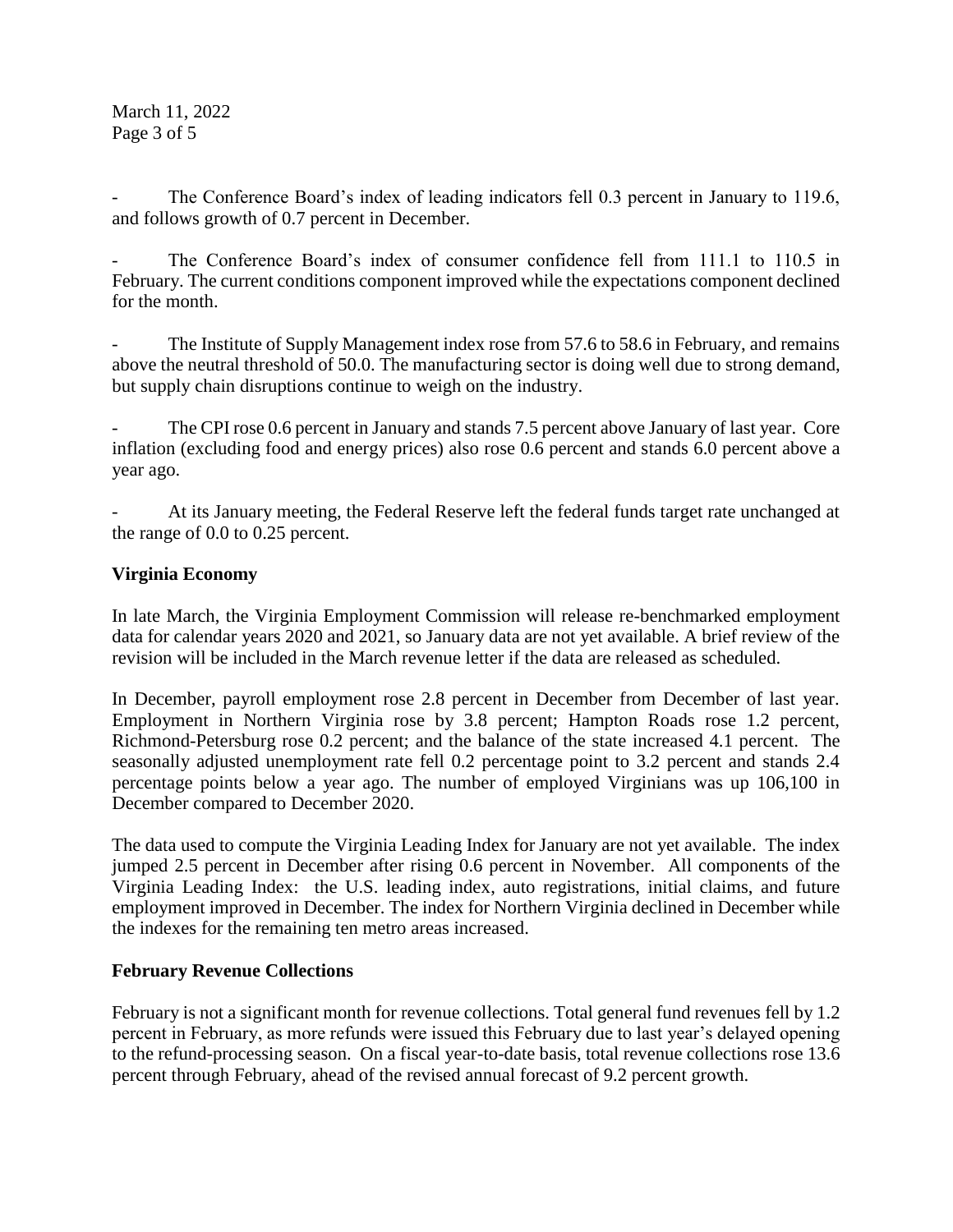March 11, 2022 Page 3 of 5

The Conference Board's index of leading indicators fell 0.3 percent in January to 119.6, and follows growth of 0.7 percent in December.

The Conference Board's index of consumer confidence fell from 111.1 to 110.5 in February. The current conditions component improved while the expectations component declined for the month.

The Institute of Supply Management index rose from 57.6 to 58.6 in February, and remains above the neutral threshold of 50.0. The manufacturing sector is doing well due to strong demand, but supply chain disruptions continue to weigh on the industry.

The CPI rose 0.6 percent in January and stands 7.5 percent above January of last year. Core inflation (excluding food and energy prices) also rose 0.6 percent and stands 6.0 percent above a year ago.

At its January meeting, the Federal Reserve left the federal funds target rate unchanged at the range of 0.0 to 0.25 percent.

## **Virginia Economy**

In late March, the Virginia Employment Commission will release re-benchmarked employment data for calendar years 2020 and 2021, so January data are not yet available. A brief review of the revision will be included in the March revenue letter if the data are released as scheduled.

In December, payroll employment rose 2.8 percent in December from December of last year. Employment in Northern Virginia rose by 3.8 percent; Hampton Roads rose 1.2 percent, Richmond-Petersburg rose 0.2 percent; and the balance of the state increased 4.1 percent. The seasonally adjusted unemployment rate fell 0.2 percentage point to 3.2 percent and stands 2.4 percentage points below a year ago. The number of employed Virginians was up 106,100 in December compared to December 2020.

The data used to compute the Virginia Leading Index for January are not yet available. The index jumped 2.5 percent in December after rising 0.6 percent in November. All components of the Virginia Leading Index: the U.S. leading index, auto registrations, initial claims, and future employment improved in December. The index for Northern Virginia declined in December while the indexes for the remaining ten metro areas increased.

# **February Revenue Collections**

February is not a significant month for revenue collections. Total general fund revenues fell by 1.2 percent in February, as more refunds were issued this February due to last year's delayed opening to the refund-processing season. On a fiscal year-to-date basis, total revenue collections rose 13.6 percent through February, ahead of the revised annual forecast of 9.2 percent growth.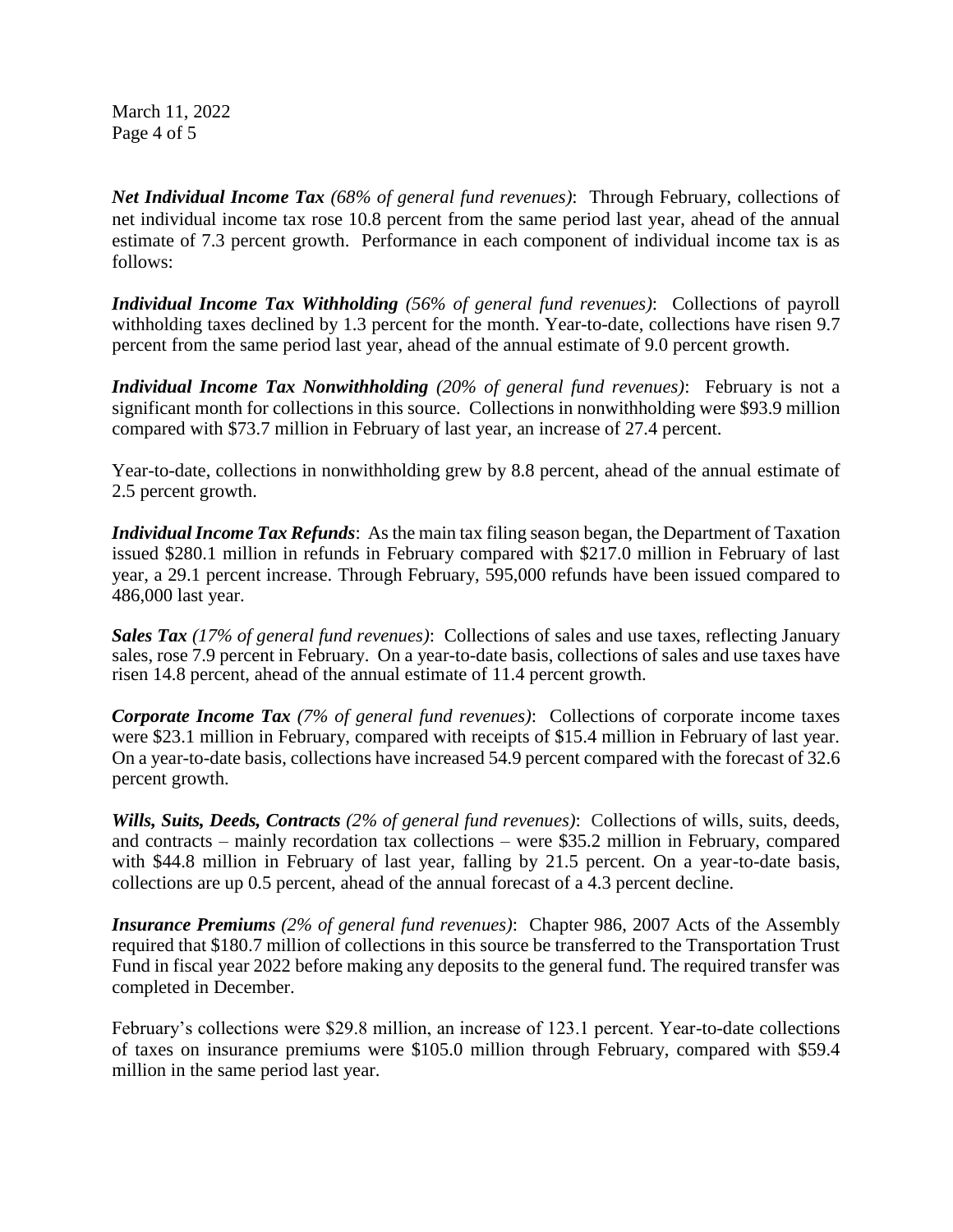March 11, 2022 Page 4 of 5

*Net Individual Income Tax (68% of general fund revenues)*: Through February, collections of net individual income tax rose 10.8 percent from the same period last year, ahead of the annual estimate of 7.3 percent growth. Performance in each component of individual income tax is as follows:

*Individual Income Tax Withholding (56% of general fund revenues)*: Collections of payroll withholding taxes declined by 1.3 percent for the month. Year-to-date, collections have risen 9.7 percent from the same period last year, ahead of the annual estimate of 9.0 percent growth.

*Individual Income Tax Nonwithholding (20% of general fund revenues)*: February is not a significant month for collections in this source. Collections in nonwithholding were \$93.9 million compared with \$73.7 million in February of last year, an increase of 27.4 percent.

Year-to-date, collections in nonwithholding grew by 8.8 percent, ahead of the annual estimate of 2.5 percent growth.

*Individual Income Tax Refunds*: As the main tax filing season began, the Department of Taxation issued \$280.1 million in refunds in February compared with \$217.0 million in February of last year, a 29.1 percent increase. Through February, 595,000 refunds have been issued compared to 486,000 last year.

*Sales Tax (17% of general fund revenues)*: Collections of sales and use taxes, reflecting January sales, rose 7.9 percent in February. On a year-to-date basis, collections of sales and use taxes have risen 14.8 percent, ahead of the annual estimate of 11.4 percent growth.

*Corporate Income Tax (7% of general fund revenues)*: Collections of corporate income taxes were \$23.1 million in February, compared with receipts of \$15.4 million in February of last year. On a year-to-date basis, collections have increased 54.9 percent compared with the forecast of 32.6 percent growth.

*Wills, Suits, Deeds, Contracts (2% of general fund revenues)*: Collections of wills, suits, deeds, and contracts – mainly recordation tax collections – were \$35.2 million in February, compared with \$44.8 million in February of last year, falling by 21.5 percent. On a year-to-date basis, collections are up 0.5 percent, ahead of the annual forecast of a 4.3 percent decline.

*Insurance Premiums (2% of general fund revenues)*: Chapter 986, 2007 Acts of the Assembly required that \$180.7 million of collections in this source be transferred to the Transportation Trust Fund in fiscal year 2022 before making any deposits to the general fund. The required transfer was completed in December.

February's collections were \$29.8 million, an increase of 123.1 percent. Year-to-date collections of taxes on insurance premiums were \$105.0 million through February, compared with \$59.4 million in the same period last year.